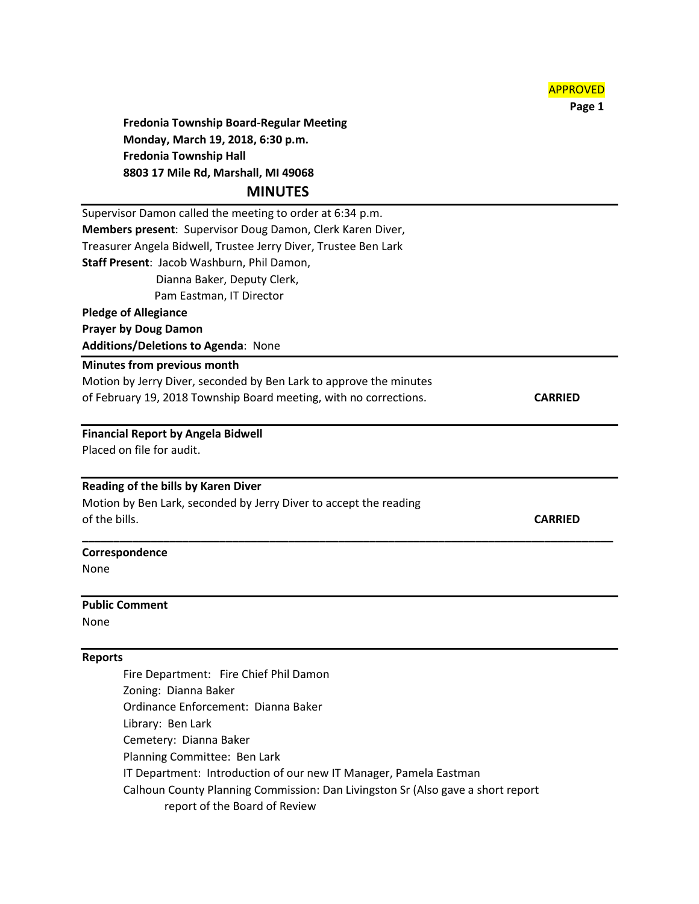

 **Page 1**

**Fredonia Township Board-Regular Meeting Monday, March 19, 2018, 6:30 p.m. Fredonia Township Hall 8803 17 Mile Rd, Marshall, MI 49068**

# **MINUTES**

Supervisor Damon called the meeting to order at 6:34 p.m. **Members present**: Supervisor Doug Damon, Clerk Karen Diver, Treasurer Angela Bidwell, Trustee Jerry Diver, Trustee Ben Lark **Staff Present**: Jacob Washburn, Phil Damon, Dianna Baker, Deputy Clerk, Pam Eastman, IT Director **Pledge of Allegiance Prayer by Doug Damon Additions/Deletions to Agenda**: None **Minutes from previous month** Motion by Jerry Diver, seconded by Ben Lark to approve the minutes of February 19, 2018 Township Board meeting, with no corrections. **CARRIED**

**\_\_\_\_\_\_\_\_\_\_\_\_\_\_\_\_\_\_\_\_\_\_\_\_\_\_\_\_\_\_\_\_\_\_\_\_\_\_\_\_\_\_\_\_\_\_\_\_\_\_\_\_\_\_\_\_\_\_\_\_\_\_\_\_\_\_\_\_\_\_\_\_\_\_\_\_\_\_\_\_\_\_\_\_\_**

**Financial Report by Angela Bidwell** Placed on file for audit.

#### **Reading of the bills by Karen Diver**

Motion by Ben Lark, seconded by Jerry Diver to accept the reading of the bills. **CARRIED**

#### **Correspondence**

None

#### **Public Comment**

None

## **Reports**

Fire Department: Fire Chief Phil Damon Zoning: Dianna Baker Ordinance Enforcement: Dianna Baker Library: Ben Lark Cemetery: Dianna Baker Planning Committee: Ben Lark IT Department: Introduction of our new IT Manager, Pamela Eastman Calhoun County Planning Commission: Dan Livingston Sr (Also gave a short report report of the Board of Review